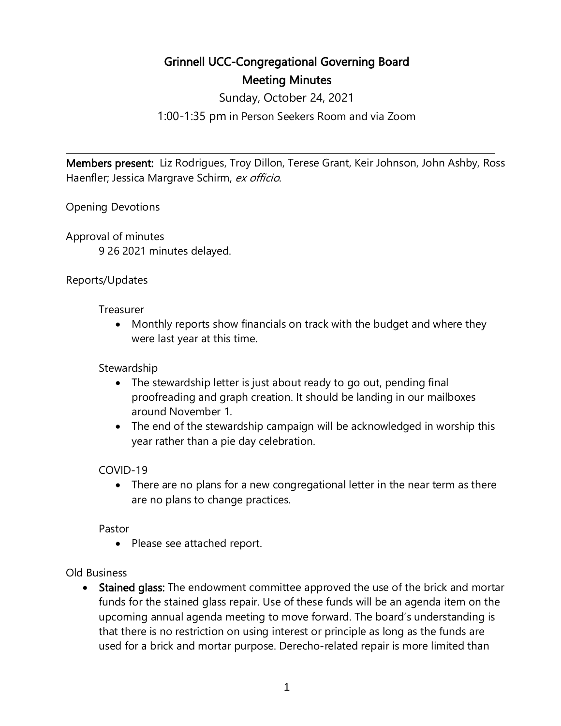# Grinnell UCC-Congregational Governing Board Meeting Minutes

Sunday, October 24, 2021

1:00-1:35 pm in Person Seekers Room and via Zoom

Members present: Liz Rodrigues, Troy Dillon, Terese Grant, Keir Johnson, John Ashby, Ross Haenfler; Jessica Margrave Schirm, ex officio.

 $\overline{a}$ 

Opening Devotions

Approval of minutes 9 26 2021 minutes delayed.

## Reports/Updates

Treasurer

• Monthly reports show financials on track with the budget and where they were last year at this time.

## **Stewardship**

- The stewardship letter is just about ready to go out, pending final proofreading and graph creation. It should be landing in our mailboxes around November 1.
- The end of the stewardship campaign will be acknowledged in worship this year rather than a pie day celebration.

### COVID-19

• There are no plans for a new congregational letter in the near term as there are no plans to change practices.

Pastor

• Please see attached report.

### Old Business

• Stained glass: The endowment committee approved the use of the brick and mortar funds for the stained glass repair. Use of these funds will be an agenda item on the upcoming annual agenda meeting to move forward. The board's understanding is that there is no restriction on using interest or principle as long as the funds are used for a brick and mortar purpose. Derecho-related repair is more limited than